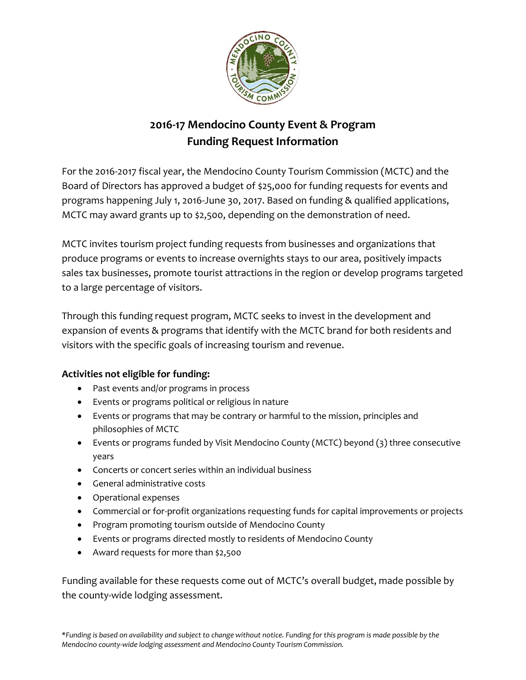

# **2016-17 Mendocino County Event & Program Funding Request Information**

For the 2016-2017 fiscal year, the Mendocino County Tourism Commission (MCTC) and the Board of Directors has approved a budget of \$25,000 for funding requests for events and programs happening July 1, 2016-June 30, 2017. Based on funding & qualified applications, MCTC may award grants up to \$2,500, depending on the demonstration of need.

MCTC invites tourism project funding requests from businesses and organizations that produce programs or events to increase overnights stays to our area, positively impacts sales tax businesses, promote tourist attractions in the region or develop programs targeted to a large percentage of visitors.

Through this funding request program, MCTC seeks to invest in the development and expansion of events & programs that identify with the MCTC brand for both residents and visitors with the specific goals of increasing tourism and revenue.

# **Activities not eligible for funding:**

- Past events and/or programs in process
- Events or programs political or religious in nature
- Events or programs that may be contrary or harmful to the mission, principles and philosophies of MCTC
- Events or programs funded by Visit Mendocino County (MCTC) beyond (3) three consecutive years
- Concerts or concert series within an individual business
- General administrative costs
- Operational expenses
- Commercial or for-profit organizations requesting funds for capital improvements or projects
- Program promoting tourism outside of Mendocino County
- Events or programs directed mostly to residents of Mendocino County
- Award requests for more than \$2,500

Funding available for these requests come out of MCTC's overall budget, made possible by the county-wide lodging assessment.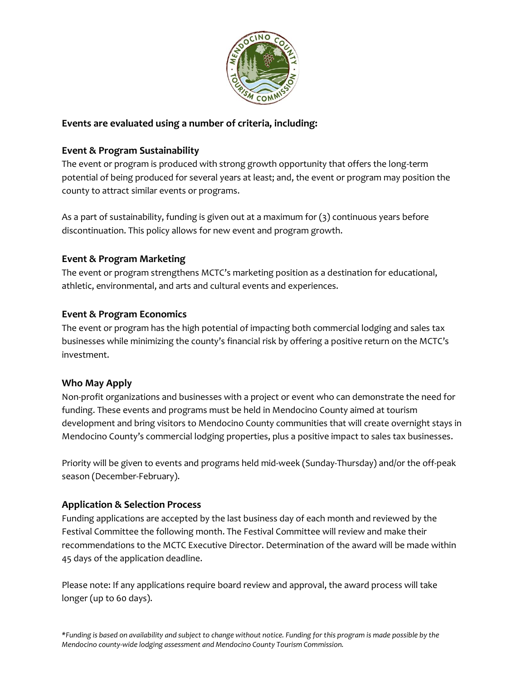

#### **Events are evaluated using a number of criteria, including:**

## **Event & Program Sustainability**

The event or program is produced with strong growth opportunity that offers the long-term potential of being produced for several years at least; and, the event or program may position the county to attract similar events or programs.

As a part of sustainability, funding is given out at a maximum for (3) continuous years before discontinuation. This policy allows for new event and program growth.

## **Event & Program Marketing**

The event or program strengthens MCTC's marketing position as a destination for educational, athletic, environmental, and arts and cultural events and experiences.

## **Event & Program Economics**

The event or program has the high potential of impacting both commercial lodging and sales tax businesses while minimizing the county's financial risk by offering a positive return on the MCTC's investment.

#### **Who May Apply**

Non-profit organizations and businesses with a project or event who can demonstrate the need for funding. These events and programs must be held in Mendocino County aimed at tourism development and bring visitors to Mendocino County communities that will create overnight stays in Mendocino County's commercial lodging properties, plus a positive impact to sales tax businesses.

Priority will be given to events and programs held mid-week (Sunday-Thursday) and/or the off-peak season (December-February).

# **Application & Selection Process**

Funding applications are accepted by the last business day of each month and reviewed by the Festival Committee the following month. The Festival Committee will review and make their recommendations to the MCTC Executive Director. Determination of the award will be made within 45 days of the application deadline.

Please note: If any applications require board review and approval, the award process will take longer (up to 60 days).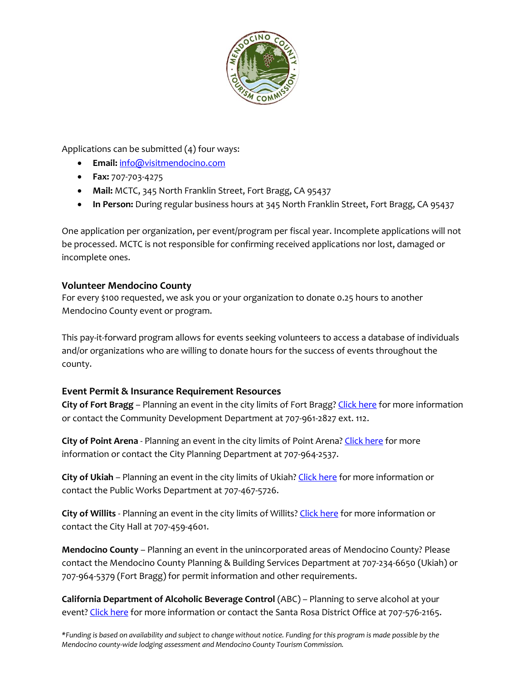

Applications can be submitted (4) four ways:

- **Email:** [info@visitmendocino.com](mailto:info@visitmendocino.com)
- **Fax:** 707-703-4275
- **Mail:** MCTC, 345 North Franklin Street, Fort Bragg, CA 95437
- **In Person:** During regular business hours at 345 North Franklin Street, Fort Bragg, CA 95437

One application per organization, per event/program per fiscal year. Incomplete applications will not be processed. MCTC is not responsible for confirming received applications nor lost, damaged or incomplete ones.

#### **Volunteer Mendocino County**

For every \$100 requested, we ask you or your organization to donate 0.25 hours to another Mendocino County event or program.

This pay-it-forward program allows for events seeking volunteers to access a database of individuals and/or organizations who are willing to donate hours for the success of events throughout the county.

# **Event Permit & Insurance Requirement Resources**

**City of Fort Bragg** – Planning an event in the city limits of Fort Bragg[? Click here](https://city.fortbragg.com/faq.aspx?qid=93) for more information or contact the Community Development Department at 707-961-2827 ext. 112.

**City of Point Arena** - Planning an event in the city limits of Point Arena[? Click here](http://www.cityofpointarena.net/planning-c1jni) for more information or contact the City Planning Department at 707-964-2537.

**City of Ukiah** – Planning an event in the city limits of Ukiah[? Click here](http://www.cityofukiah.com/NewWeb/wp-content/uploads/2016/04/Special-Event-Permit-Application-Packet.pdf) for more information or contact the Public Works Department at 707-467-5726.

**City of Willits** - Planning an event in the city limits of Willits? [Click here](http://thecityofwillits.com/) for more information or contact the City Hall at 707-459-4601.

**Mendocino County** – Planning an event in the unincorporated areas of Mendocino County? Please contact the Mendocino County Planning & Building Services Department at 707-234-6650 (Ukiah) or 707-964-5379 (Fort Bragg) for permit information and other requirements.

**California Department of Alcoholic Beverage Control** (ABC) – Planning to serve alcohol at your event[? Click here](http://www.abc.ca.gov/forms/pdfspc.html) for more information or contact the Santa Rosa District Office at 707-576-2165.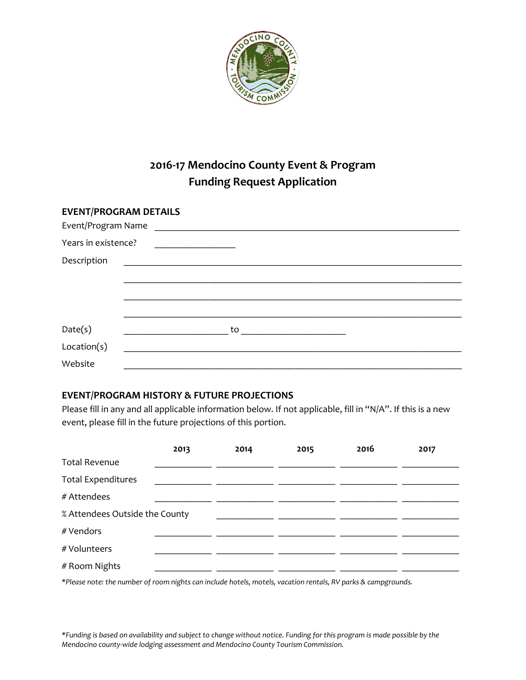

# **2016-17 Mendocino County Event & Program Funding Request Application**

| <b>EVENT/PROGRAM DETAILS</b><br>Event/Program Name |    |  |  |
|----------------------------------------------------|----|--|--|
| Years in existence?                                |    |  |  |
|                                                    |    |  |  |
|                                                    |    |  |  |
|                                                    |    |  |  |
|                                                    |    |  |  |
|                                                    | to |  |  |
|                                                    |    |  |  |
|                                                    |    |  |  |
|                                                    |    |  |  |

#### **EVENT/PROGRAM HISTORY & FUTURE PROJECTIONS**

Please fill in any and all applicable information below. If not applicable, fill in "N/A". If this is a new event, please fill in the future projections of this portion.

|                                | 2013 | 2014 | 2015 | 2016 | 2017 |
|--------------------------------|------|------|------|------|------|
| <b>Total Revenue</b>           |      |      |      |      |      |
| <b>Total Expenditures</b>      |      |      |      |      |      |
| # Attendees                    |      |      |      |      |      |
| % Attendees Outside the County |      |      |      |      |      |
| # Vendors                      |      |      |      |      |      |
| # Volunteers                   |      |      |      |      |      |
| # Room Nights                  |      |      |      |      |      |

*\*Please note: the number of room nights can include hotels, motels, vacation rentals, RV parks & campgrounds.*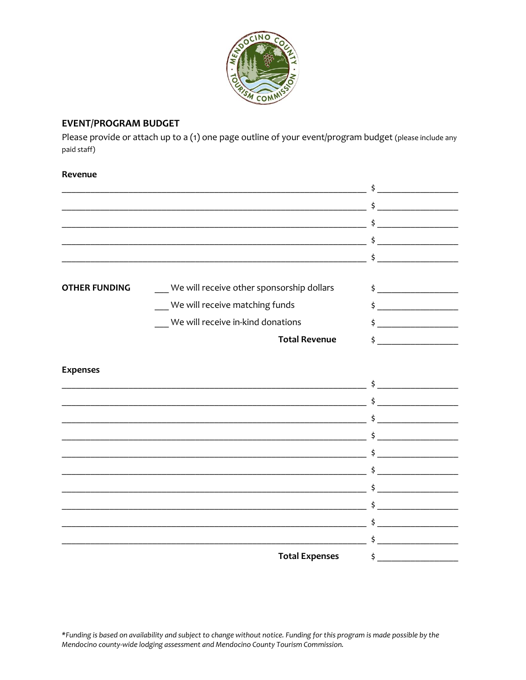

## **EVENT/PROGRAM BUDGET**

Please provide or attach up to a (1) one page outline of your event/program budget (please include any paid staff)

#### Revenue

|                      |                                                                                                                       | \$                                                                                                                                                                                                                                                                                                                                                                                                                                          |  |
|----------------------|-----------------------------------------------------------------------------------------------------------------------|---------------------------------------------------------------------------------------------------------------------------------------------------------------------------------------------------------------------------------------------------------------------------------------------------------------------------------------------------------------------------------------------------------------------------------------------|--|
|                      | <u> 1980 - Johann Barn, mars ann an t-Amhain an t-Amhain an t-Amhain an t-Amhain an t-Amhain an t-Amhain an t-Amh</u> |                                                                                                                                                                                                                                                                                                                                                                                                                                             |  |
|                      |                                                                                                                       | \$                                                                                                                                                                                                                                                                                                                                                                                                                                          |  |
|                      |                                                                                                                       |                                                                                                                                                                                                                                                                                                                                                                                                                                             |  |
| <b>OTHER FUNDING</b> | We will receive other sponsorship dollars                                                                             | $\frac{1}{2}$                                                                                                                                                                                                                                                                                                                                                                                                                               |  |
|                      | We will receive matching funds                                                                                        | $\frac{1}{2}$                                                                                                                                                                                                                                                                                                                                                                                                                               |  |
|                      | We will receive in-kind donations                                                                                     |                                                                                                                                                                                                                                                                                                                                                                                                                                             |  |
|                      | <b>Total Revenue</b>                                                                                                  | \$                                                                                                                                                                                                                                                                                                                                                                                                                                          |  |
|                      |                                                                                                                       |                                                                                                                                                                                                                                                                                                                                                                                                                                             |  |
| <b>Expenses</b>      |                                                                                                                       |                                                                                                                                                                                                                                                                                                                                                                                                                                             |  |
|                      |                                                                                                                       |                                                                                                                                                                                                                                                                                                                                                                                                                                             |  |
|                      |                                                                                                                       | <u> 1989 - Johann Harry Harry Harry Harry Harry Harry Harry Harry Harry Harry Harry Harry Harry Harry Harry Harry</u>                                                                                                                                                                                                                                                                                                                       |  |
|                      | <u> 1989 - Johann Stoff, amerikansk politiker (d. 1989)</u>                                                           |                                                                                                                                                                                                                                                                                                                                                                                                                                             |  |
|                      | <u> 1989 - Johann Stein, mars an deutscher Stein und der Stein und der Stein und der Stein und der Stein und der</u>  | Ś.                                                                                                                                                                                                                                                                                                                                                                                                                                          |  |
|                      |                                                                                                                       |                                                                                                                                                                                                                                                                                                                                                                                                                                             |  |
|                      | <u> 1989 - Johann John Stone, markin film yn y brening yn y brening yn y brening yn y brening yn y brening yn y b</u> |                                                                                                                                                                                                                                                                                                                                                                                                                                             |  |
|                      | the product of the control of the control of the control of the control of the control of                             |                                                                                                                                                                                                                                                                                                                                                                                                                                             |  |
|                      |                                                                                                                       |                                                                                                                                                                                                                                                                                                                                                                                                                                             |  |
|                      |                                                                                                                       | \$<br>$\begin{array}{cccccccccc} \hline \textbf{1} & \textbf{1} & \textbf{1} & \textbf{1} & \textbf{1} & \textbf{1} & \textbf{1} & \textbf{1} & \textbf{1} & \textbf{1} & \textbf{1} & \textbf{1} & \textbf{1} & \textbf{1} & \textbf{1} & \textbf{1} & \textbf{1} & \textbf{1} & \textbf{1} & \textbf{1} & \textbf{1} & \textbf{1} & \textbf{1} & \textbf{1} & \textbf{1} & \textbf{1} & \textbf{1} & \textbf{1} & \textbf{1} & \textbf{1$ |  |
|                      | <u> 1990 - Johann John Stone, mars et al. (</u>                                                                       |                                                                                                                                                                                                                                                                                                                                                                                                                                             |  |
|                      | <b>Total Expenses</b>                                                                                                 | \$.                                                                                                                                                                                                                                                                                                                                                                                                                                         |  |
|                      |                                                                                                                       |                                                                                                                                                                                                                                                                                                                                                                                                                                             |  |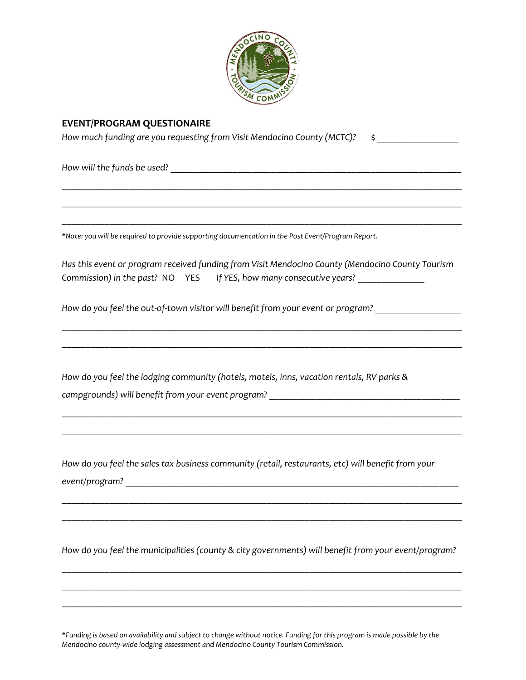

#### **EVENT/PROGRAM QUESTIONAIRE**

*How much funding are you requesting from Visit Mendocino County (MCTC)?* \$

\_\_\_\_\_\_\_\_\_\_\_\_\_\_\_\_\_\_\_\_\_\_\_\_\_\_\_\_\_\_\_\_\_\_\_\_\_\_\_\_\_\_\_\_\_\_\_\_\_\_\_\_\_\_\_\_\_\_\_\_\_\_\_\_\_\_\_\_\_\_\_\_\_\_\_\_\_\_\_\_\_\_\_\_

\_\_\_\_\_\_\_\_\_\_\_\_\_\_\_\_\_\_\_\_\_\_\_\_\_\_\_\_\_\_\_\_\_\_\_\_\_\_\_\_\_\_\_\_\_\_\_\_\_\_\_\_\_\_\_\_\_\_\_\_\_\_\_\_\_\_\_\_\_\_\_\_\_\_\_\_\_\_\_\_\_\_\_\_

\_\_\_\_\_\_\_\_\_\_\_\_\_\_\_\_\_\_\_\_\_\_\_\_\_\_\_\_\_\_\_\_\_\_\_\_\_\_\_\_\_\_\_\_\_\_\_\_\_\_\_\_\_\_\_\_\_\_\_\_\_\_\_\_\_\_\_\_\_\_\_\_\_\_\_\_\_\_\_\_\_\_\_\_

*How will the funds be used?* <u>with the funds be used?</u> The set of the set of the set of the set of the set of the set of the set of the set of the set of the set of the set of the set of the set of the set of the set of t

*\*Note: you will be required to provide supporting documentation in the Post Event/Program Report.*

|  | Has this event or program received funding from Visit Mendocino County (Mendocino County Tourism |  |
|--|--------------------------------------------------------------------------------------------------|--|
|  | Commission) in the past? NO YES If YES, how many consecutive years?                              |  |

\_\_\_\_\_\_\_\_\_\_\_\_\_\_\_\_\_\_\_\_\_\_\_\_\_\_\_\_\_\_\_\_\_\_\_\_\_\_\_\_\_\_\_\_\_\_\_\_\_\_\_\_\_\_\_\_\_\_\_\_\_\_\_\_\_\_\_\_\_\_\_\_\_\_\_\_\_\_\_\_\_\_\_\_

\_\_\_\_\_\_\_\_\_\_\_\_\_\_\_\_\_\_\_\_\_\_\_\_\_\_\_\_\_\_\_\_\_\_\_\_\_\_\_\_\_\_\_\_\_\_\_\_\_\_\_\_\_\_\_\_\_\_\_\_\_\_\_\_\_\_\_\_\_\_\_\_\_\_\_\_\_\_\_\_\_\_\_\_

\_\_\_\_\_\_\_\_\_\_\_\_\_\_\_\_\_\_\_\_\_\_\_\_\_\_\_\_\_\_\_\_\_\_\_\_\_\_\_\_\_\_\_\_\_\_\_\_\_\_\_\_\_\_\_\_\_\_\_\_\_\_\_\_\_\_\_\_\_\_\_\_\_\_\_\_\_\_\_\_\_\_\_\_

\_\_\_\_\_\_\_\_\_\_\_\_\_\_\_\_\_\_\_\_\_\_\_\_\_\_\_\_\_\_\_\_\_\_\_\_\_\_\_\_\_\_\_\_\_\_\_\_\_\_\_\_\_\_\_\_\_\_\_\_\_\_\_\_\_\_\_\_\_\_\_\_\_\_\_\_\_\_\_\_\_\_\_\_

*How do you feel the out-of-town visitor will benefit from your event or program?* \_\_\_\_\_\_\_\_\_\_\_\_\_\_\_\_\_\_

*How do you feel the lodging community (hotels, motels, inns, vacation rentals, RV parks & campgrounds) will benefit from your event program?* 

*How do you feel the sales tax business community (retail, restaurants, etc) will benefit from your event/program?* \_\_\_\_\_\_\_\_\_\_\_\_\_\_\_\_\_\_\_\_\_\_\_\_\_\_\_\_\_\_\_\_\_\_\_\_\_\_\_\_\_\_\_\_\_\_\_\_\_\_\_\_\_\_\_\_\_\_\_\_\_\_\_\_\_\_\_\_\_\_

*How do you feel the municipalities (county & city governments) will benefit from your event/program?*

\_\_\_\_\_\_\_\_\_\_\_\_\_\_\_\_\_\_\_\_\_\_\_\_\_\_\_\_\_\_\_\_\_\_\_\_\_\_\_\_\_\_\_\_\_\_\_\_\_\_\_\_\_\_\_\_\_\_\_\_\_\_\_\_\_\_\_\_\_\_\_\_\_\_\_\_\_\_\_\_\_\_\_\_

\_\_\_\_\_\_\_\_\_\_\_\_\_\_\_\_\_\_\_\_\_\_\_\_\_\_\_\_\_\_\_\_\_\_\_\_\_\_\_\_\_\_\_\_\_\_\_\_\_\_\_\_\_\_\_\_\_\_\_\_\_\_\_\_\_\_\_\_\_\_\_\_\_\_\_\_\_\_\_\_\_\_\_\_

\_\_\_\_\_\_\_\_\_\_\_\_\_\_\_\_\_\_\_\_\_\_\_\_\_\_\_\_\_\_\_\_\_\_\_\_\_\_\_\_\_\_\_\_\_\_\_\_\_\_\_\_\_\_\_\_\_\_\_\_\_\_\_\_\_\_\_\_\_\_\_\_\_\_\_\_\_\_\_\_\_\_\_\_

\_\_\_\_\_\_\_\_\_\_\_\_\_\_\_\_\_\_\_\_\_\_\_\_\_\_\_\_\_\_\_\_\_\_\_\_\_\_\_\_\_\_\_\_\_\_\_\_\_\_\_\_\_\_\_\_\_\_\_\_\_\_\_\_\_\_\_\_\_\_\_\_\_\_\_\_\_\_\_\_\_\_\_\_

\_\_\_\_\_\_\_\_\_\_\_\_\_\_\_\_\_\_\_\_\_\_\_\_\_\_\_\_\_\_\_\_\_\_\_\_\_\_\_\_\_\_\_\_\_\_\_\_\_\_\_\_\_\_\_\_\_\_\_\_\_\_\_\_\_\_\_\_\_\_\_\_\_\_\_\_\_\_\_\_\_\_\_\_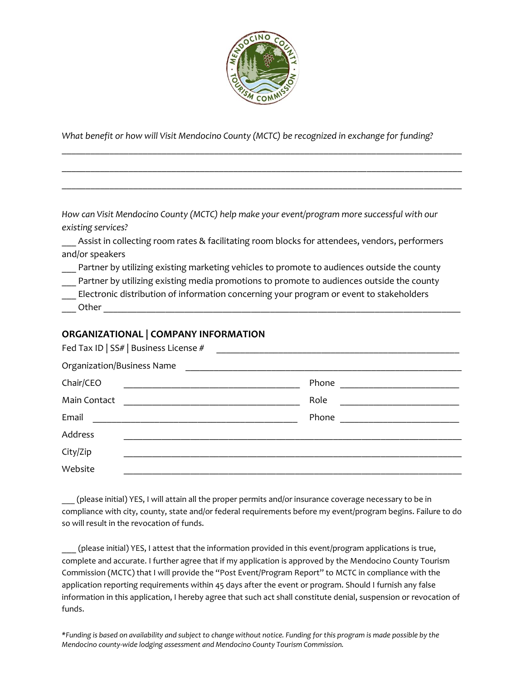

*What benefit or how will Visit Mendocino County (MCTC) be recognized in exchange for funding?*

\_\_\_\_\_\_\_\_\_\_\_\_\_\_\_\_\_\_\_\_\_\_\_\_\_\_\_\_\_\_\_\_\_\_\_\_\_\_\_\_\_\_\_\_\_\_\_\_\_\_\_\_\_\_\_\_\_\_\_\_\_\_\_\_\_\_\_\_\_\_\_\_\_\_\_\_\_\_\_\_\_\_\_\_

\_\_\_\_\_\_\_\_\_\_\_\_\_\_\_\_\_\_\_\_\_\_\_\_\_\_\_\_\_\_\_\_\_\_\_\_\_\_\_\_\_\_\_\_\_\_\_\_\_\_\_\_\_\_\_\_\_\_\_\_\_\_\_\_\_\_\_\_\_\_\_\_\_\_\_\_\_\_\_\_\_\_\_\_

\_\_\_\_\_\_\_\_\_\_\_\_\_\_\_\_\_\_\_\_\_\_\_\_\_\_\_\_\_\_\_\_\_\_\_\_\_\_\_\_\_\_\_\_\_\_\_\_\_\_\_\_\_\_\_\_\_\_\_\_\_\_\_\_\_\_\_\_\_\_\_\_\_\_\_\_\_\_\_\_\_\_\_\_

*How can Visit Mendocino County (MCTC) help make your event/program more successful with our existing services?*

Assist in collecting room rates & facilitating room blocks for attendees, vendors, performers and/or speakers

Partner by utilizing existing marketing vehicles to promote to audiences outside the county

Partner by utilizing existing media promotions to promote to audiences outside the county \_\_\_ Electronic distribution of information concerning your program or event to stakeholders Other **Later** 

#### **ORGANIZATIONAL | COMPANY INFORMATION**

|                            | Fed Tax ID   SS#   Business License # |      |  |  |
|----------------------------|---------------------------------------|------|--|--|
| Organization/Business Name |                                       |      |  |  |
| Chair/CEO                  |                                       |      |  |  |
| Main Contact               |                                       | Role |  |  |
| Email                      |                                       |      |  |  |
| Address                    |                                       |      |  |  |
| City/Zip                   |                                       |      |  |  |
| Website                    |                                       |      |  |  |

\_\_\_ (please initial) YES, I will attain all the proper permits and/or insurance coverage necessary to be in compliance with city, county, state and/or federal requirements before my event/program begins. Failure to do so will result in the revocation of funds.

\_\_\_ (please initial) YES, I attest that the information provided in this event/program applications is true, complete and accurate. I further agree that if my application is approved by the Mendocino County Tourism Commission (MCTC) that I will provide the "Post Event/Program Report" to MCTC in compliance with the application reporting requirements within 45 days after the event or program. Should I furnish any false information in this application, I hereby agree that such act shall constitute denial, suspension or revocation of funds.